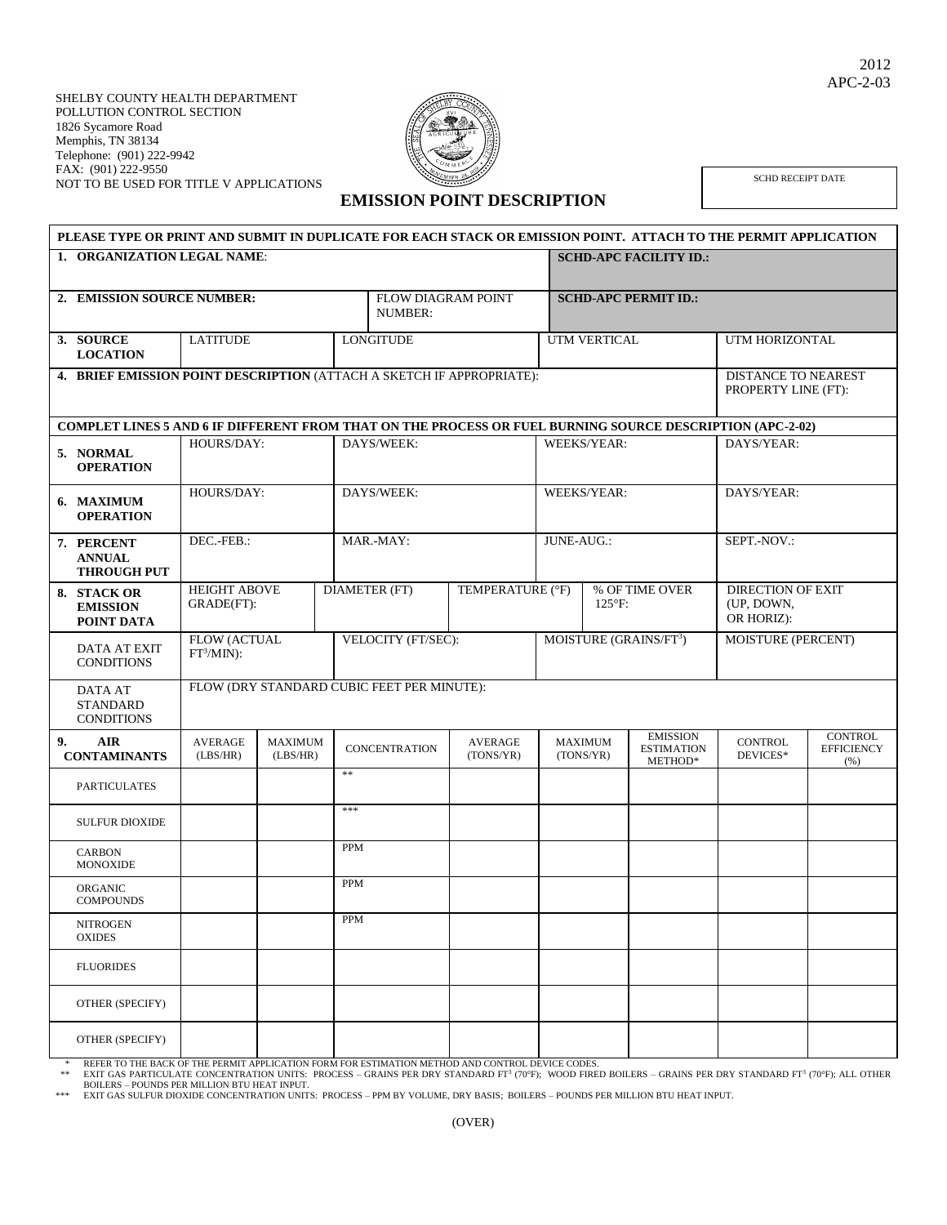

SCHD RECEIPT DATE

## **PLEASE TYPE OR PRINT AND SUBMIT IN DUPLICATE FOR EACH STACK OR EMISSION POINT. ATTACH TO THE PERMIT APPLICATION 1. ORGANIZATION LEGAL NAME: SCHD-APC FACILITY ID.:** 2. **EMISSION SOURCE NUMBER:** FLOW DIAGRAM POINT NUMBER $\cdot$ **SCHD-APC PERMIT ID.: 3. SOURCE LOCATION** LATITUDE LONGITUDE UTM VERTICAL UTM HORIZONTAL **4. BRIEF EMISSION POINT DESCRIPTION (ATTACH A SKETCH IF APPROPRIATE):** DISTANCE TO NEAREST PROPERTY LINE (FT): **COMPLET LINES 5 AND 6 IF DIFFERENT FROM THAT ON THE PROCESS OR FUEL BURNING SOURCE DESCRIPTION (APC-2-02) 5. NORMAL OPERATION** HOURS/DAY: DAYS/WEEK: NEEKS/YEAR: DAYS/YEAR: DAYS/YEAR: **6. MAXIMUM OPERATION** HOURS/DAY: DAYS/WEEK: WEEKS/YEAR: DAYS/YEAR: **7. PERCENT ANNUAL THROUGH PUT** DEC.-FEB.: MAR.-MAY: JUNE-AUG.: SEPT.-NOV.: **8. STACK OR EMISSION POINT DATA** HEIGHT ABOVE GRADE(FT): DIAMETER (FT) TEMPERATURE (°F) % OF TIME OVER 125°F: DIRECTION OF EXIT (UP, DOWN, OR HORIZ): DATA AT EXIT **CONDITIONS** FLOW (ACTUAL  $FT^3/MIN$ : VELOCITY (FT/SEC): MOISTURE (GRAINS/FT<sup>3</sup>) ) MOISTURE (PERCENT) DATA AT STANDARD **CONDITIONS** FLOW (DRY STANDARD CUBIC FEET PER MINUTE): **9. AIR CONTAMINANTS** AVERAGE (LBS/HR) MAXIMUM<br>(LBS/HR) CONCENTRATION AVERAGE (TONS/YR) MAXIMUM (TONS/YR) EMISSION ESTIMATION METHOD\* CONTROL DEVICES\* **CONTROL EFFICIENCY**  $(%)$ PARTICULATES \*\* SULFUR DIOXIDE \*\*\* CARBON MONOXIDE PPM ORGANIC **COMPOUNDS** PPM **NITROGEN** OXIDES PPM FLUORIDES OTHER (SPECIFY) OTHER (SPECIFY)

\* REFER TO THE BACK OF THE PERMIT APPLICATION FORM FOR ESTIMATION METHOD AND CONTROL DEVICE CODES.

\*\* EXIT GAS PARTICULATE CONCENTRATION UNITS: PROCESS – GRAINS PER DRY STANDARD FT<sup>3</sup> (70°F); WOOD FIRED BOILERS – GRAINS PER DRY STANDARD FT<sup>3</sup> (70°F); ALL OTHER BOILERS – POUNDS PER MILLION BTU HEAT INPUT.

\*\*\* EXIT GAS SULFUR DIOXIDE CONCENTRATION UNITS: PROCESS – PPM BY VOLUME, DRY BASIS; BOILERS – POUNDS PER MILLION BTU HEAT INPUT.